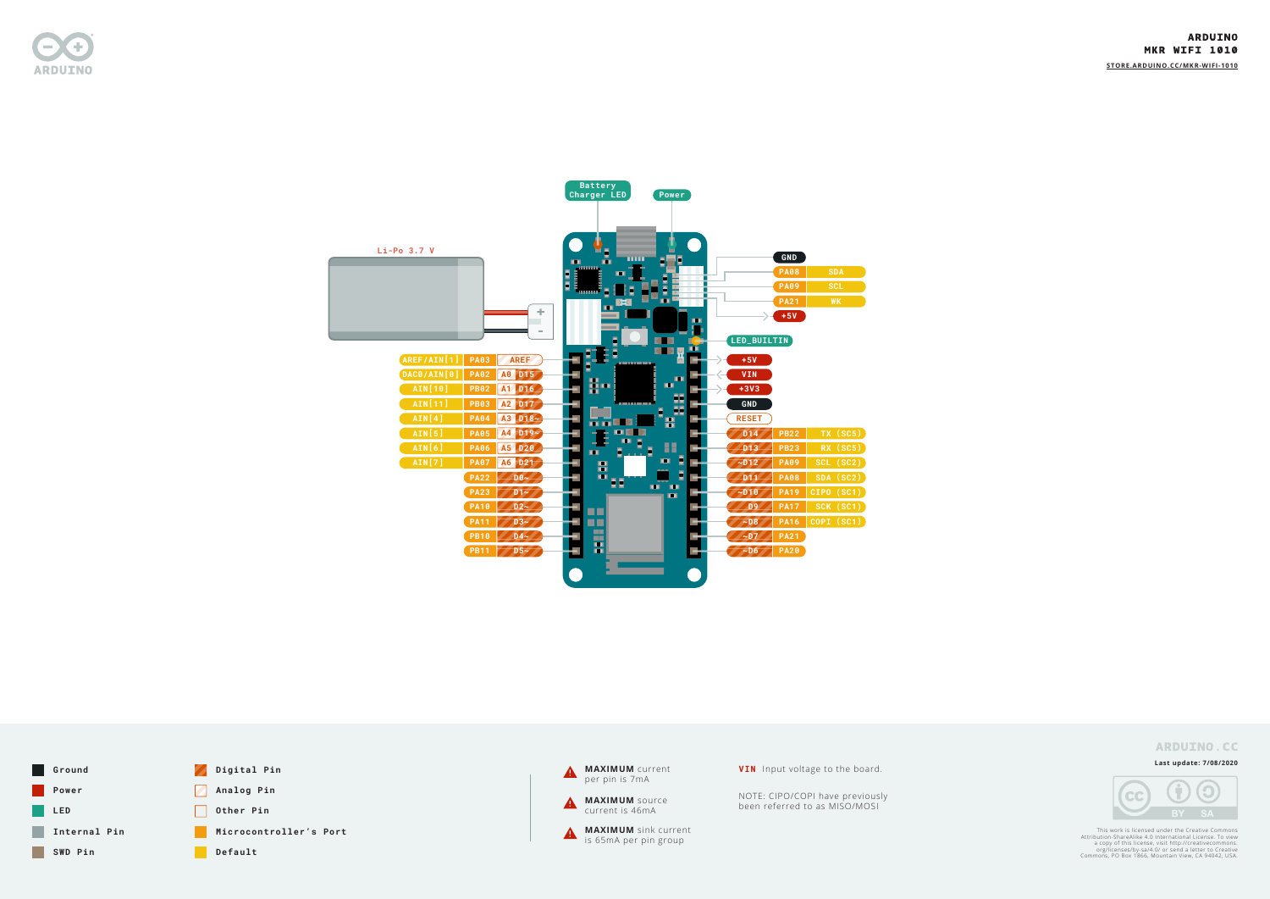

#### **Last update: 7/08/2020**



This work is licensed under the Creative Commons<br>Attribution-ShareAlike 4.0 International License. To view<br>a copy of this license, visit http://creativecommons.<br>org/licenses/by-sa/4.0/ or send a letter to Creative<br>Commons,





**STORE.ARDUINO.CC/MKR-WIFI-1010**

# **ARDUINO.CC**



**VIN** Input voltage to the board.

NOTE: CIPO/COPI have previously been referred to as MISO/MOSI

# **ARDUINO MKR WIFI 1010**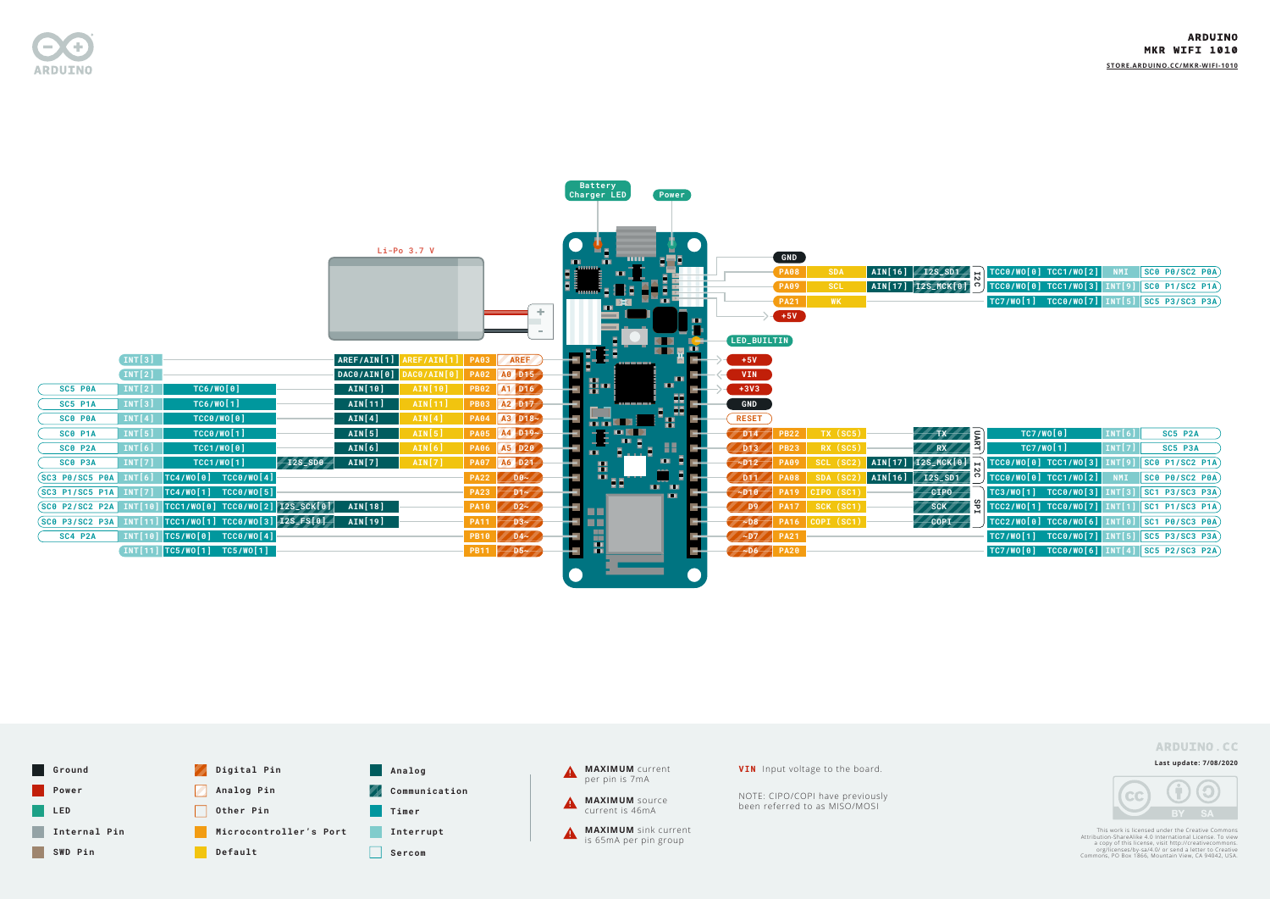**Last update: 7/08/2020**



This work is licensed under the Creative Commons<br>Attribution-ShareAlike 4.0 International License. To view<br>a copy of this license, visit http://creativecommons.<br>org/licenses/by-sa/4.0/ or send a letter to Creative<br>Commons,

**PB11 D5~**

F



**TC5/WO[1] TC5/WO[1] INT[11]**



### **ARDUINO MKR WIFI 1010**



| E)             |                   | TC7/W0[0]                                         | <b>INT[6]</b> |         | SC5 P2A                   |  |  |  |
|----------------|-------------------|---------------------------------------------------|---------------|---------|---------------------------|--|--|--|
| ੰਤ੍ਰਾਂ         |                   | TC7/W0[1]                                         | INT[7]        | SC5 P3A |                           |  |  |  |
| <b>L2</b>      |                   | $TCC0/W0[0] TCC1/W0[3] INT[9] SC0 P1/SC2 P1A)$    |               |         |                           |  |  |  |
| ö              |                   | $TCCO/WO[0] TCC1/WO[2]$ NMI                       |               |         | $ SC0$ P $0/SC2$ P $0$ A) |  |  |  |
|                |                   | $TC3/WO[1]$ $TCC0/WO[3]$ $INT[3]$ SC1 P3/SC3 P3A) |               |         |                           |  |  |  |
| 2 <sup>o</sup> |                   | $TCC2/WO[1] TCC0/WO[7] INT[1] STC1 P1/SC3 P1A)$   |               |         |                           |  |  |  |
|                | <b>TCC2/WO[0]</b> | TCC0/WO[6] INT[0] SC1 P0/SC3 P0A)                 |               |         |                           |  |  |  |
|                |                   | $TC7/WO[1]$ $TCC0/WO[7]$ $INT[5]$ SC5 P3/SC3 P3A) |               |         |                           |  |  |  |
|                |                   | $TC7/W0[0]$ $TCC0/W0[6]$ $INT[4]$ SC5 P2/SC3 P2A) |               |         |                           |  |  |  |



**PA20 ~D6**

÷

| <b>SDA</b> |  |                                                                                             |  |  |  |
|------------|--|---------------------------------------------------------------------------------------------|--|--|--|
| <b>SCL</b> |  |                                                                                             |  |  |  |
| <b>WK</b>  |  | $\boxed{\text{TC7/WO[1]}$ $\boxed{\text{TCC0/WO[7]}$ $\boxed{\text{INT}[5]}$ SC5 P3/SC3 P3A |  |  |  |

**STORE.ARDUINO.CC/MKR-WIFI-1010**